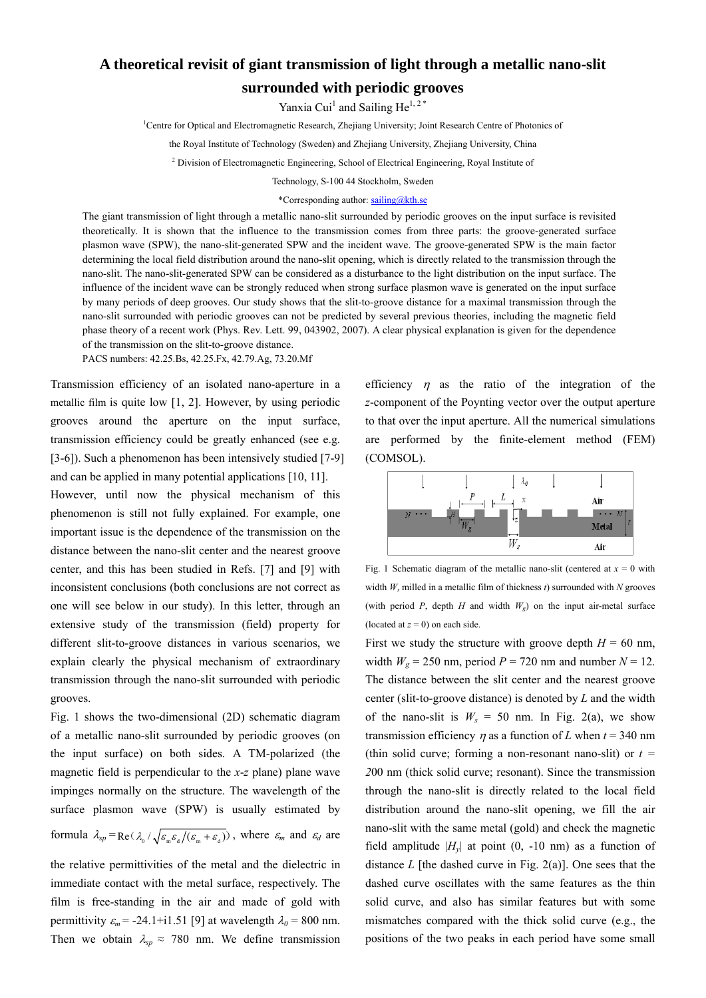## **A theoretical revisit of giant transmission of light through a metallic nano-slit surrounded with periodic grooves**

Yanxia Cui<sup>1</sup> and Sailing He<sup>1, 2\*</sup>

<sup>1</sup>Centre for Optical and Electromagnetic Research, Zhejiang University; Joint Research Centre of Photonics of

the Royal Institute of Technology (Sweden) and Zhejiang University, Zhejiang University, China

<sup>2</sup> Division of Electromagnetic Engineering, School of Electrical Engineering, Royal Institute of

Technology, S-100 44 Stockholm, Sweden

## \*Corresponding author: sailing@kth.se

The giant transmission of light through a metallic nano-slit surrounded by periodic grooves on the input surface is revisited theoretically. It is shown that the influence to the transmission comes from three parts: the groove-generated surface plasmon wave (SPW), the nano-slit-generated SPW and the incident wave. The groove-generated SPW is the main factor determining the local field distribution around the nano-slit opening, which is directly related to the transmission through the nano-slit. The nano-slit-generated SPW can be considered as a disturbance to the light distribution on the input surface. The influence of the incident wave can be strongly reduced when strong surface plasmon wave is generated on the input surface by many periods of deep grooves. Our study shows that the slit-to-groove distance for a maximal transmission through the nano-slit surrounded with periodic grooves can not be predicted by several previous theories, including the magnetic field phase theory of a recent work (Phys. Rev. Lett. 99, 043902, 2007). A clear physical explanation is given for the dependence of the transmission on the slit-to-groove distance.

PACS numbers: 42.25.Bs, 42.25.Fx, 42.79.Ag, 73.20.Mf

Transmission efficiency of an isolated nano-aperture in a metallic film is quite low [1, 2]. However, by using periodic grooves around the aperture on the input surface, transmission efficiency could be greatly enhanced (see e.g. [3-6]). Such a phenomenon has been intensively studied [7-9]

and can be applied in many potential applications [10, 11]. However, until now the physical mechanism of this phenomenon is still not fully explained. For example, one important issue is the dependence of the transmission on the distance between the nano-slit center and the nearest groove center, and this has been studied in Refs. [7] and [9] with inconsistent conclusions (both conclusions are not correct as one will see below in our study). In this letter, through an extensive study of the transmission (field) property for different slit-to-groove distances in various scenarios, we explain clearly the physical mechanism of extraordinary transmission through the nano-slit surrounded with periodic grooves.

Fig. 1 shows the two-dimensional (2D) schematic diagram of a metallic nano-slit surrounded by periodic grooves (on the input surface) on both sides. A TM-polarized (the magnetic field is perpendicular to the *x*-*z* plane) plane wave impinges normally on the structure. The wavelength of the surface plasmon wave (SPW) is usually estimated by

formula  $\lambda_{sp} = \text{Re}(\lambda_0/\sqrt{\varepsilon_m \varepsilon_a/(\varepsilon_m + \varepsilon_a)})$ , where  $\varepsilon_m$  and  $\varepsilon_d$  are

the relative permittivities of the metal and the dielectric in immediate contact with the metal surface, respectively. The film is free-standing in the air and made of gold with permittivity  $\varepsilon_m$  = -24.1+i1.51 [9] at wavelength  $\lambda_0$  = 800 nm. Then we obtain  $\lambda_{sp} \approx 780$  nm. We define transmission efficiency  $\eta$  as the ratio of the integration of the *z*-component of the Poynting vector over the output aperture to that over the input aperture. All the numerical simulations are performed by the finite-element method (FEM) (COMSOL).



Fig. 1 Schematic diagram of the metallic nano-slit (centered at  $x = 0$  with width *Ws* milled in a metallic film of thickness *t*) surrounded with *N* grooves (with period *P*, depth *H* and width  $W<sub>g</sub>$ ) on the input air-metal surface (located at  $z = 0$ ) on each side.

First we study the structure with groove depth  $H = 60$  nm, width  $W_g = 250$  nm, period  $P = 720$  nm and number  $N = 12$ . The distance between the slit center and the nearest groove center (slit-to-groove distance) is denoted by *L* and the width of the nano-slit is  $W_s = 50$  nm. In Fig. 2(a), we show transmission efficiency *n* as a function of *L* when  $t = 340$  nm (thin solid curve; forming a non-resonant nano-slit) or *t = 2*00 nm (thick solid curve; resonant). Since the transmission through the nano-slit is directly related to the local field distribution around the nano-slit opening, we fill the air nano-slit with the same metal (gold) and check the magnetic field amplitude  $|H_v|$  at point  $(0, -10 \text{ nm})$  as a function of distance *L* [the dashed curve in Fig. 2(a)]. One sees that the dashed curve oscillates with the same features as the thin solid curve, and also has similar features but with some mismatches compared with the thick solid curve (e.g., the positions of the two peaks in each period have some small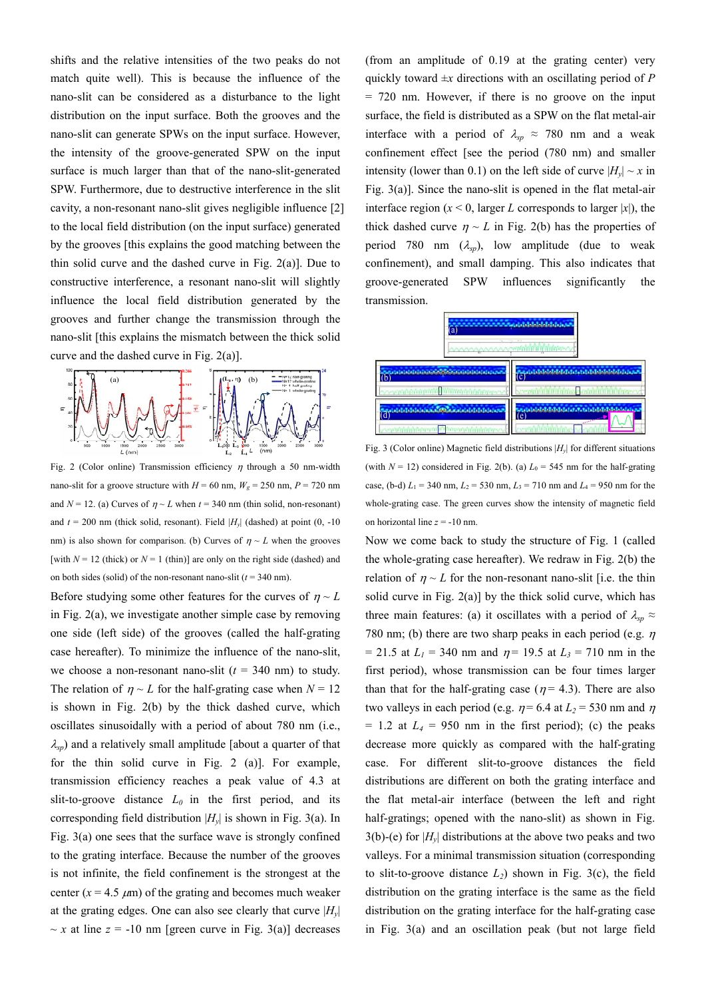shifts and the relative intensities of the two peaks do not match quite well). This is because the influence of the nano-slit can be considered as a disturbance to the light distribution on the input surface. Both the grooves and the nano-slit can generate SPWs on the input surface. However, the intensity of the groove-generated SPW on the input surface is much larger than that of the nano-slit-generated SPW. Furthermore, due to destructive interference in the slit cavity, a non-resonant nano-slit gives negligible influence [2] to the local field distribution (on the input surface) generated by the grooves [this explains the good matching between the thin solid curve and the dashed curve in Fig. 2(a)]. Due to constructive interference, a resonant nano-slit will slightly influence the local field distribution generated by the grooves and further change the transmission through the nano-slit [this explains the mismatch between the thick solid curve and the dashed curve in Fig. 2(a)].



Fig. 2 (Color online) Transmission efficiency  $\eta$  through a 50 nm-width nano-slit for a groove structure with  $H = 60$  nm,  $W_g = 250$  nm,  $P = 720$  nm and  $N = 12$ . (a) Curves of  $\eta \sim L$  when  $t = 340$  nm (thin solid, non-resonant) and  $t = 200$  nm (thick solid, resonant). Field  $|H_v|$  (dashed) at point (0, -10 nm) is also shown for comparison. (b) Curves of  $\eta \sim L$  when the grooves [with  $N = 12$  (thick) or  $N = 1$  (thin)] are only on the right side (dashed) and on both sides (solid) of the non-resonant nano-slit  $(t = 340 \text{ nm})$ .

Before studying some other features for the curves of  $\eta \sim L$ in Fig. 2(a), we investigate another simple case by removing one side (left side) of the grooves (called the half-grating case hereafter). To minimize the influence of the nano-slit, we choose a non-resonant nano-slit  $(t = 340 \text{ nm})$  to study. The relation of  $\eta \sim L$  for the half-grating case when  $N = 12$ is shown in Fig. 2(b) by the thick dashed curve, which oscillates sinusoidally with a period of about 780 nm (i.e., <sup>λ</sup>*sp*) and a relatively small amplitude [about a quarter of that for the thin solid curve in Fig. 2 (a)]. For example, transmission efficiency reaches a peak value of 4.3 at slit-to-groove distance  $L_0$  in the first period, and its corresponding field distribution  $|H_v|$  is shown in Fig. 3(a). In Fig. 3(a) one sees that the surface wave is strongly confined to the grating interface. Because the number of the grooves is not infinite, the field confinement is the strongest at the center  $(x = 4.5 \mu m)$  of the grating and becomes much weaker at the grating edges. One can also see clearly that curve  $|H_v|$  $\sim x$  at line  $z = -10$  nm [green curve in Fig. 3(a)] decreases (from an amplitude of 0.19 at the grating center) very quickly toward  $\pm x$  directions with an oscillating period of *P* = 720 nm. However, if there is no groove on the input surface, the field is distributed as a SPW on the flat metal-air interface with a period of  $\lambda_{sp} \approx 780$  nm and a weak confinement effect [see the period (780 nm) and smaller intensity (lower than 0.1) on the left side of curve  $|H_v| \sim x$  in Fig. 3(a)]. Since the nano-slit is opened in the flat metal-air interface region ( $x < 0$ , larger *L* corresponds to larger |*x*|), the thick dashed curve  $\eta \sim L$  in Fig. 2(b) has the properties of period 780 nm  $(\lambda_{sp})$ , low amplitude (due to weak confinement), and small damping. This also indicates that groove-generated SPW influences significantly the transmission.



Fig. 3 (Color online) Magnetic field distributions  $|H_v|$  for different situations (with  $N = 12$ ) considered in Fig. 2(b). (a)  $L_0 = 545$  nm for the half-grating case, (b-d)  $L_1 = 340$  nm,  $L_2 = 530$  nm,  $L_3 = 710$  nm and  $L_4 = 950$  nm for the whole-grating case. The green curves show the intensity of magnetic field on horizontal line *z* = -10 nm.

Now we come back to study the structure of Fig. 1 (called the whole-grating case hereafter). We redraw in Fig. 2(b) the relation of  $\eta \sim L$  for the non-resonant nano-slit [i.e. the thin solid curve in Fig.  $2(a)$ ] by the thick solid curve, which has three main features: (a) it oscillates with a period of  $\lambda_{sp} \approx$ 780 nm; (b) there are two sharp peaks in each period (e.g.  $\eta$ )  $= 21.5$  at  $L_1 = 340$  nm and  $\eta = 19.5$  at  $L_3 = 710$  nm in the first period), whose transmission can be four times larger than that for the half-grating case ( $\eta$  = 4.3). There are also two valleys in each period (e.g.  $\eta$  = 6.4 at  $L_2$  = 530 nm and  $\eta$  $= 1.2$  at  $L_4 = 950$  nm in the first period); (c) the peaks decrease more quickly as compared with the half-grating case. For different slit-to-groove distances the field distributions are different on both the grating interface and the flat metal-air interface (between the left and right half-gratings; opened with the nano-slit) as shown in Fig.  $3(b)$ -(e) for  $|H_v|$  distributions at the above two peaks and two valleys. For a minimal transmission situation (corresponding to slit-to-groove distance  $L_2$ ) shown in Fig. 3(c), the field distribution on the grating interface is the same as the field distribution on the grating interface for the half-grating case in Fig. 3(a) and an oscillation peak (but not large field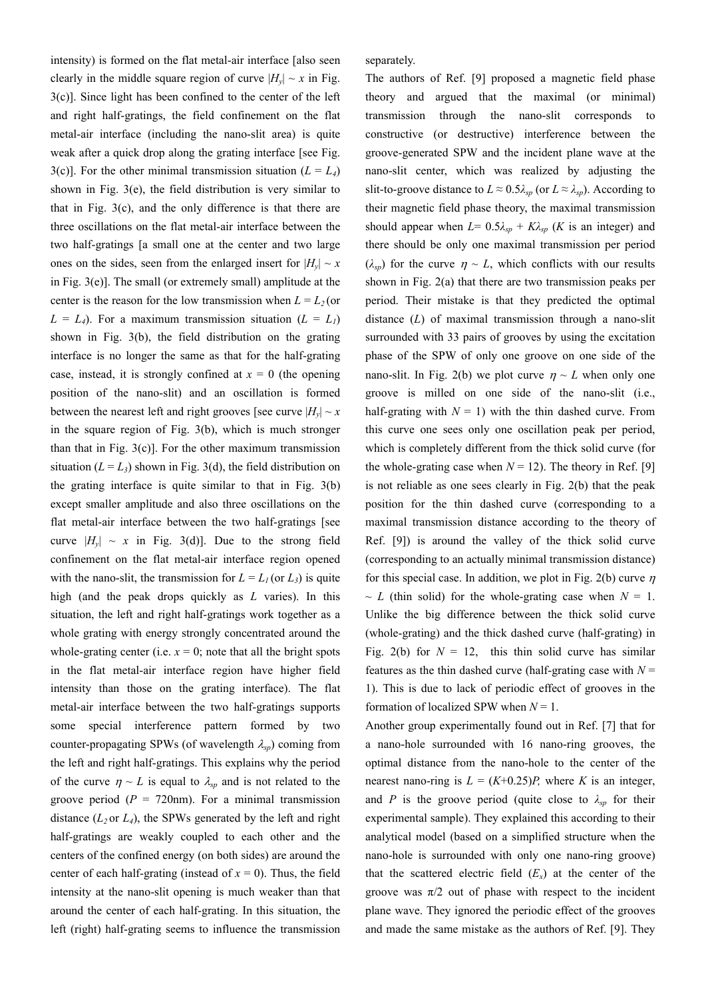intensity) is formed on the flat metal-air interface [also seen clearly in the middle square region of curve  $|H_v| \sim x$  in Fig. 3(c)]. Since light has been confined to the center of the left and right half-gratings, the field confinement on the flat metal-air interface (including the nano-slit area) is quite weak after a quick drop along the grating interface [see Fig. 3(c)]. For the other minimal transmission situation  $(L = L<sub>4</sub>)$ shown in Fig. 3(e), the field distribution is very similar to that in Fig. 3(c), and the only difference is that there are three oscillations on the flat metal-air interface between the two half-gratings [a small one at the center and two large ones on the sides, seen from the enlarged insert for  $|H_v| \sim x$ in Fig. 3(e)]. The small (or extremely small) amplitude at the center is the reason for the low transmission when  $L = L_2$  (or  $L = L_4$ ). For a maximum transmission situation  $(L = L_1)$ shown in Fig. 3(b), the field distribution on the grating interface is no longer the same as that for the half-grating case, instead, it is strongly confined at  $x = 0$  (the opening position of the nano-slit) and an oscillation is formed between the nearest left and right grooves [see curve  $|H_v| \sim x$ in the square region of Fig. 3(b), which is much stronger than that in Fig.  $3(c)$ . For the other maximum transmission situation  $(L = L_3)$  shown in Fig. 3(d), the field distribution on the grating interface is quite similar to that in Fig. 3(b) except smaller amplitude and also three oscillations on the flat metal-air interface between the two half-gratings [see curve  $|H_v| \sim x$  in Fig. 3(d)]. Due to the strong field confinement on the flat metal-air interface region opened with the nano-slit, the transmission for  $L = L_1$  (or  $L_3$ ) is quite high (and the peak drops quickly as *L* varies). In this situation, the left and right half-gratings work together as a whole grating with energy strongly concentrated around the whole-grating center (i.e.  $x = 0$ ; note that all the bright spots in the flat metal-air interface region have higher field intensity than those on the grating interface). The flat metal-air interface between the two half-gratings supports some special interference pattern formed by two counter-propagating SPWs (of wavelength λ*sp*) coming from the left and right half-gratings. This explains why the period of the curve  $\eta \sim L$  is equal to  $\lambda_{sp}$  and is not related to the groove period ( $P = 720$ nm). For a minimal transmission distance  $(L_2$  or  $L_4$ ), the SPWs generated by the left and right half-gratings are weakly coupled to each other and the centers of the confined energy (on both sides) are around the center of each half-grating (instead of  $x = 0$ ). Thus, the field intensity at the nano-slit opening is much weaker than that around the center of each half-grating. In this situation, the left (right) half-grating seems to influence the transmission separately.

The authors of Ref. [9] proposed a magnetic field phase theory and argued that the maximal (or minimal) transmission through the nano-slit corresponds to constructive (or destructive) interference between the groove-generated SPW and the incident plane wave at the nano-slit center, which was realized by adjusting the slit-to-groove distance to  $L \approx 0.5 \lambda_{sp}$  (or  $L \approx \lambda_{sp}$ ). According to their magnetic field phase theory, the maximal transmission should appear when  $L = 0.5\lambda_{sp} + K\lambda_{sp}$  (*K* is an integer) and there should be only one maximal transmission per period  $(\lambda_{sp})$  for the curve  $\eta \sim L$ , which conflicts with our results shown in Fig. 2(a) that there are two transmission peaks per period. Their mistake is that they predicted the optimal distance (*L*) of maximal transmission through a nano-slit surrounded with 33 pairs of grooves by using the excitation phase of the SPW of only one groove on one side of the nano-slit. In Fig. 2(b) we plot curve  $\eta \sim L$  when only one groove is milled on one side of the nano-slit (i.e., half-grating with  $N = 1$ ) with the thin dashed curve. From this curve one sees only one oscillation peak per period, which is completely different from the thick solid curve (for the whole-grating case when  $N = 12$ ). The theory in Ref. [9] is not reliable as one sees clearly in Fig. 2(b) that the peak position for the thin dashed curve (corresponding to a maximal transmission distance according to the theory of Ref. [9]) is around the valley of the thick solid curve (corresponding to an actually minimal transmission distance) for this special case. In addition, we plot in Fig. 2(b) curve  $n$  $\sim L$  (thin solid) for the whole-grating case when  $N = 1$ . Unlike the big difference between the thick solid curve (whole-grating) and the thick dashed curve (half-grating) in Fig. 2(b) for  $N = 12$ , this thin solid curve has similar features as the thin dashed curve (half-grating case with  $N =$ 1). This is due to lack of periodic effect of grooves in the formation of localized SPW when *N* = 1.

Another group experimentally found out in Ref. [7] that for a nano-hole surrounded with 16 nano-ring grooves, the optimal distance from the nano-hole to the center of the nearest nano-ring is  $L = (K+0.25)P$ , where *K* is an integer, and *P* is the groove period (quite close to  $\lambda_{sp}$  for their experimental sample). They explained this according to their analytical model (based on a simplified structure when the nano-hole is surrounded with only one nano-ring groove) that the scattered electric field  $(E_x)$  at the center of the groove was  $\pi/2$  out of phase with respect to the incident plane wave. They ignored the periodic effect of the grooves and made the same mistake as the authors of Ref. [9]. They